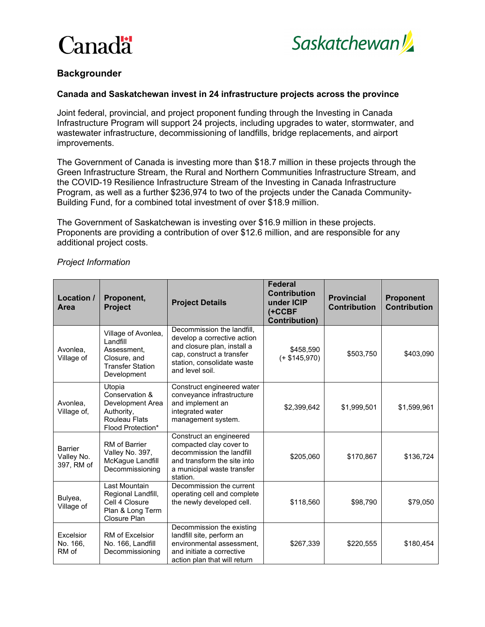



### **Backgrounder**

#### **Canada and Saskatchewan invest in 24 infrastructure projects across the province**

Joint federal, provincial, and project proponent funding through the Investing in Canada Infrastructure Program will support 24 projects, including upgrades to water, stormwater, and wastewater infrastructure, decommissioning of landfills, bridge replacements, and airport improvements.

The Government of Canada is investing more than \$18.7 million in these projects through the Green Infrastructure Stream, the Rural and Northern Communities Infrastructure Stream, and the COVID-19 Resilience Infrastructure Stream of the Investing in Canada Infrastructure Program, as well as a further \$236,974 to two of the projects under the Canada Community-Building Fund, for a combined total investment of over \$18.9 million.

The Government of Saskatchewan is investing over \$16.9 million in these projects. Proponents are providing a contribution of over \$12.6 million, and are responsible for any additional project costs.

| Location /<br><b>Area</b>           | Proponent,<br><b>Project</b>                                                                              | <b>Project Details</b>                                                                                                                                                 | <b>Federal</b><br><b>Contribution</b><br>under ICIP<br>$($ +CCBF<br><b>Contribution)</b> | <b>Provincial</b><br><b>Contribution</b> | <b>Proponent</b><br><b>Contribution</b> |
|-------------------------------------|-----------------------------------------------------------------------------------------------------------|------------------------------------------------------------------------------------------------------------------------------------------------------------------------|------------------------------------------------------------------------------------------|------------------------------------------|-----------------------------------------|
| Avonlea,<br>Village of              | Village of Avonlea,<br>I andfill<br>Assessment.<br>Closure, and<br><b>Transfer Station</b><br>Development | Decommission the landfill,<br>develop a corrective action<br>and closure plan, install a<br>cap, construct a transfer<br>station, consolidate waste<br>and level soil. | \$458,590<br>$(+ $145,970)$                                                              | \$503,750                                | \$403,090                               |
| Avonlea,<br>Village of,             | Utopia<br>Conservation &<br>Development Area<br>Authority,<br>Rouleau Flats<br>Flood Protection*          | Construct engineered water<br>conveyance infrastructure<br>and implement an<br>integrated water<br>management system.                                                  | \$2,399,642                                                                              | \$1,999,501                              | \$1,599,961                             |
| Barrier<br>Valley No.<br>397, RM of | RM of Barrier<br>Valley No. 397,<br>McKague Landfill<br>Decommissioning                                   | Construct an engineered<br>compacted clay cover to<br>decommission the landfill<br>and transform the site into<br>a municipal waste transfer<br>station.               | \$205,060                                                                                | \$170,867                                | \$136,724                               |
| Bulyea,<br>Village of               | Last Mountain<br>Regional Landfill,<br>Cell 4 Closure<br>Plan & Long Term<br>Closure Plan                 | Decommission the current<br>operating cell and complete<br>the newly developed cell.                                                                                   | \$118,560                                                                                | \$98,790                                 | \$79,050                                |
| Excelsior<br>No. 166,<br>RM of      | <b>RM of Excelsior</b><br>No. 166, Landfill<br>Decommissioning                                            | Decommission the existing<br>landfill site, perform an<br>environmental assessment.<br>and initiate a corrective<br>action plan that will return                       | \$267,339                                                                                | \$220,555                                | \$180,454                               |

### *Project Information*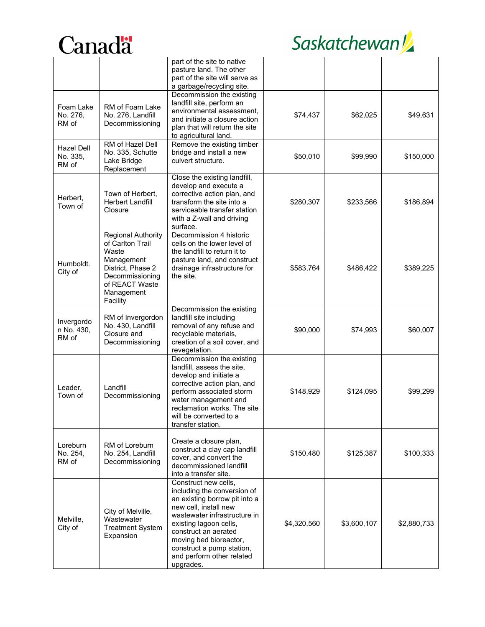



|                                        |                                                                                                                                                          | part of the site to native<br>pasture land. The other<br>part of the site will serve as<br>a garbage/recycling site.                                                                                                                                                                             |             |             |             |
|----------------------------------------|----------------------------------------------------------------------------------------------------------------------------------------------------------|--------------------------------------------------------------------------------------------------------------------------------------------------------------------------------------------------------------------------------------------------------------------------------------------------|-------------|-------------|-------------|
| Foam Lake<br>No. 276,<br>RM of         | RM of Foam Lake<br>No. 276, Landfill<br>Decommissioning                                                                                                  | Decommission the existing<br>landfill site, perform an<br>environmental assessment,<br>and initiate a closure action<br>plan that will return the site<br>to agricultural land.                                                                                                                  | \$74,437    | \$62,025    | \$49,631    |
| <b>Hazel Dell</b><br>No. 335,<br>RM of | RM of Hazel Dell<br>No. 335, Schutte<br>Lake Bridge<br>Replacement                                                                                       | Remove the existing timber<br>bridge and install a new<br>culvert structure.                                                                                                                                                                                                                     | \$50,010    | \$99,990    | \$150,000   |
| Herbert,<br>Town of                    | Town of Herbert,<br><b>Herbert Landfill</b><br>Closure                                                                                                   | Close the existing landfill,<br>develop and execute a<br>corrective action plan, and<br>transform the site into a<br>serviceable transfer station<br>with a Z-wall and driving<br>surface.                                                                                                       | \$280,307   | \$233,566   | \$186,894   |
| Humboldt.<br>City of                   | <b>Regional Authority</b><br>of Carlton Trail<br>Waste<br>Management<br>District, Phase 2<br>Decommissioning<br>of REACT Waste<br>Management<br>Facility | Decommission 4 historic<br>cells on the lower level of<br>the landfill to return it to<br>pasture land, and construct<br>drainage infrastructure for<br>the site.                                                                                                                                | \$583,764   | \$486,422   | \$389,225   |
| Invergordo<br>n No. 430,<br>RM of      | RM of Invergordon<br>No. 430, Landfill<br>Closure and<br>Decommissioning                                                                                 | Decommission the existing<br>landfill site including<br>removal of any refuse and<br>recyclable materials,<br>creation of a soil cover, and<br>revegetation.                                                                                                                                     | \$90,000    | \$74,993    | \$60,007    |
| Leader,<br>Town of                     | Landfill<br>Decommissioning                                                                                                                              | Decommission the existing<br>landfill, assess the site,<br>develop and initiate a<br>corrective action plan, and<br>perform associated storm<br>water management and<br>reclamation works. The site<br>will be converted to a<br>transfer station.                                               | \$148,929   | \$124,095   | \$99,299    |
| Loreburn<br>No. 254,<br>RM of          | RM of Loreburn<br>No. 254, Landfill<br>Decommissioning                                                                                                   | Create a closure plan,<br>construct a clay cap landfill<br>cover, and convert the<br>decommissioned landfill<br>into a transfer site.                                                                                                                                                            | \$150,480   | \$125,387   | \$100,333   |
| Melville,<br>City of                   | City of Melville,<br>Wastewater<br><b>Treatment System</b><br>Expansion                                                                                  | Construct new cells,<br>including the conversion of<br>an existing borrow pit into a<br>new cell, install new<br>wastewater infrastructure in<br>existing lagoon cells,<br>construct an aerated<br>moving bed bioreactor,<br>construct a pump station,<br>and perform other related<br>upgrades. | \$4,320,560 | \$3,600,107 | \$2,880,733 |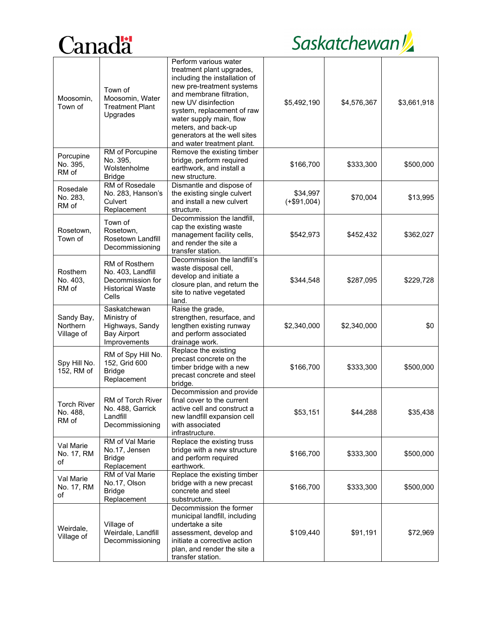# Canadä<sup>t</sup>

# Saskatchewan

| Moosomin,<br>Town of                    | Town of<br>Moosomin, Water<br><b>Treatment Plant</b><br>Upgrades                                   | Perform various water<br>treatment plant upgrades,<br>including the installation of<br>new pre-treatment systems<br>and membrane filtration,<br>new UV disinfection<br>system, replacement of raw<br>water supply main, flow<br>meters, and back-up<br>generators at the well sites<br>and water treatment plant. | \$5,492,190               | \$4,576,367 | \$3,661,918 |
|-----------------------------------------|----------------------------------------------------------------------------------------------------|-------------------------------------------------------------------------------------------------------------------------------------------------------------------------------------------------------------------------------------------------------------------------------------------------------------------|---------------------------|-------------|-------------|
| Porcupine<br>No. 395,<br>RM of          | RM of Porcupine<br>No. 395,<br>Wolstenholme<br><b>Bridge</b>                                       | Remove the existing timber<br>bridge, perform required<br>earthwork, and install a<br>new structure.                                                                                                                                                                                                              | \$166,700                 | \$333,300   | \$500,000   |
| Rosedale<br>No. 283,<br>RM of           | RM of Rosedale<br>No. 283, Hanson's<br>Culvert<br>Replacement                                      | Dismantle and dispose of<br>the existing single culvert<br>and install a new culvert<br>structure.                                                                                                                                                                                                                | \$34,997<br>$(+\$91,004)$ | \$70,004    | \$13,995    |
| Rosetown,<br>Town of                    | Town of<br>Rosetown,<br>Rosetown Landfill<br>Decommissioning                                       | Decommission the landfill,<br>cap the existing waste<br>management facility cells,<br>and render the site a<br>transfer station.                                                                                                                                                                                  | \$542,973                 | \$452,432   | \$362,027   |
| Rosthern<br>No. 403,<br>RM of           | <b>RM of Rosthern</b><br>No. 403, Landfill<br>Decommission for<br><b>Historical Waste</b><br>Cells | Decommission the landfill's<br>waste disposal cell,<br>develop and initiate a<br>closure plan, and return the<br>site to native vegetated<br>land.                                                                                                                                                                | \$344,548                 | \$287,095   | \$229,728   |
| Sandy Bay,<br>Northern<br>Village of    | Saskatchewan<br>Ministry of<br>Highways, Sandy<br><b>Bay Airport</b><br>Improvements               | Raise the grade,<br>strengthen, resurface, and<br>lengthen existing runway<br>and perform associated<br>drainage work.                                                                                                                                                                                            | \$2,340,000               | \$2,340,000 | \$0         |
| Spy Hill No.<br>152, RM of              | RM of Spy Hill No.<br>152, Grid 600<br><b>Bridge</b><br>Replacement                                | Replace the existing<br>precast concrete on the<br>timber bridge with a new<br>precast concrete and steel<br>bridge.                                                                                                                                                                                              | \$166,700                 | \$333,300   | \$500,000   |
| <b>Torch River</b><br>No. 488,<br>RM of | RM of Torch River<br>No. 488, Garrick<br>Landfill<br>Decommissioning                               | Decommission and provide<br>final cover to the current<br>active cell and construct a<br>new landfill expansion cell<br>with associated<br>infrastructure.                                                                                                                                                        | \$53,151                  | \$44,288    | \$35,438    |
| Val Marie<br>No. 17, RM<br>of           | RM of Val Marie<br>No.17, Jensen<br><b>Bridge</b><br>Replacement                                   | Replace the existing truss<br>bridge with a new structure<br>and perform required<br>earthwork.                                                                                                                                                                                                                   | \$166,700                 | \$333,300   | \$500,000   |
| Val Marie<br>No. 17, RM<br>of           | RM of Val Marie<br>No.17, Olson<br><b>Bridge</b><br>Replacement                                    | Replace the existing timber<br>bridge with a new precast<br>concrete and steel<br>substructure.                                                                                                                                                                                                                   | \$166,700                 | \$333,300   | \$500,000   |
| Weirdale,<br>Village of                 | Village of<br>Weirdale, Landfill<br>Decommissioning                                                | Decommission the former<br>municipal landfill, including<br>undertake a site<br>assessment, develop and<br>initiate a corrective action<br>plan, and render the site a<br>transfer station.                                                                                                                       | \$109,440                 | \$91,191    | \$72,969    |